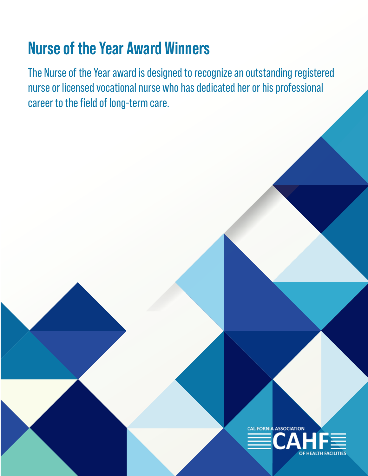# **Nurse of the Year Award Winners**

The Nurse of the Year award is designed to recognize an outstanding registered nurse or licensed vocational nurse who has dedicated her or his professional career to the field of long-term care.

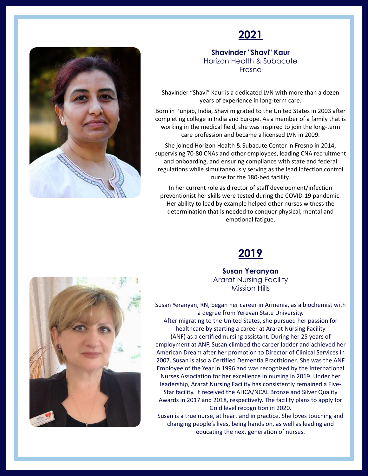

#### **Shavinder "Shavi" Kaur** Horizon Health & Subacute Fresno

Shavinder "Shavi" Kaur is a dedicated LVN with more than a dozen years of experience in long-term care.

Born in Punjab, India, Shavi migrated to the United States in 2003 after completing college in India and Europe. As a member of a family that is working in the medical field, she was inspired to join the long-term care profession and became a licensed LVN in 2009.

She joined Horizon Health & Subacute Center in Fresno in 2014, supervising 70-80 CNAs and other employees, leading CNA recruitment and onboarding, and ensuring compliance with state and federal regulations while simultaneously serving as the lead infection control nurse for the 180-bed facility.

In her current role as director of staff development/infection preventionist her skills were tested during the COVID-19 pandemic. Her ability to lead by example helped other nurses witness the determination that is needed to conquer physical, mental and emotional fatigue.



**Susan Yeranyan** Ararat Nursing Facility Mission Hills

Susan Yeranyan, RN, began her career in Armenia, as a biochemist with a degree from Yerevan State University. After migrating to the United States, she pursued her passion for healthcare by starting a career at Ararat Nursing Facility (ANF) as a certified nursing assistant. During her 25 years of employment at ANF, Susan climbed the career ladder and achieved her American Dream after her promotion to Director of Clinical Services in 2007. Susan is also a Certified Dementia Practitioner. She was the ANF Employee of the Year in 1996 and was recognized by the International Nurses Association for her excellence in nursing in 2019. Under her leadership, Ararat Nursing Facility has consistently remained a Five-Star facility. It received the AHCA/NCAL Bronze and Silver Quality Awards in 2017 and 2018, respectively. The facility plans to apply for Gold level recognition in 2020.

Susan is a true nurse, at heart and in practice. She loves touching and changing people's lives, being hands on, as well as leading and educating the next generation of nurses.